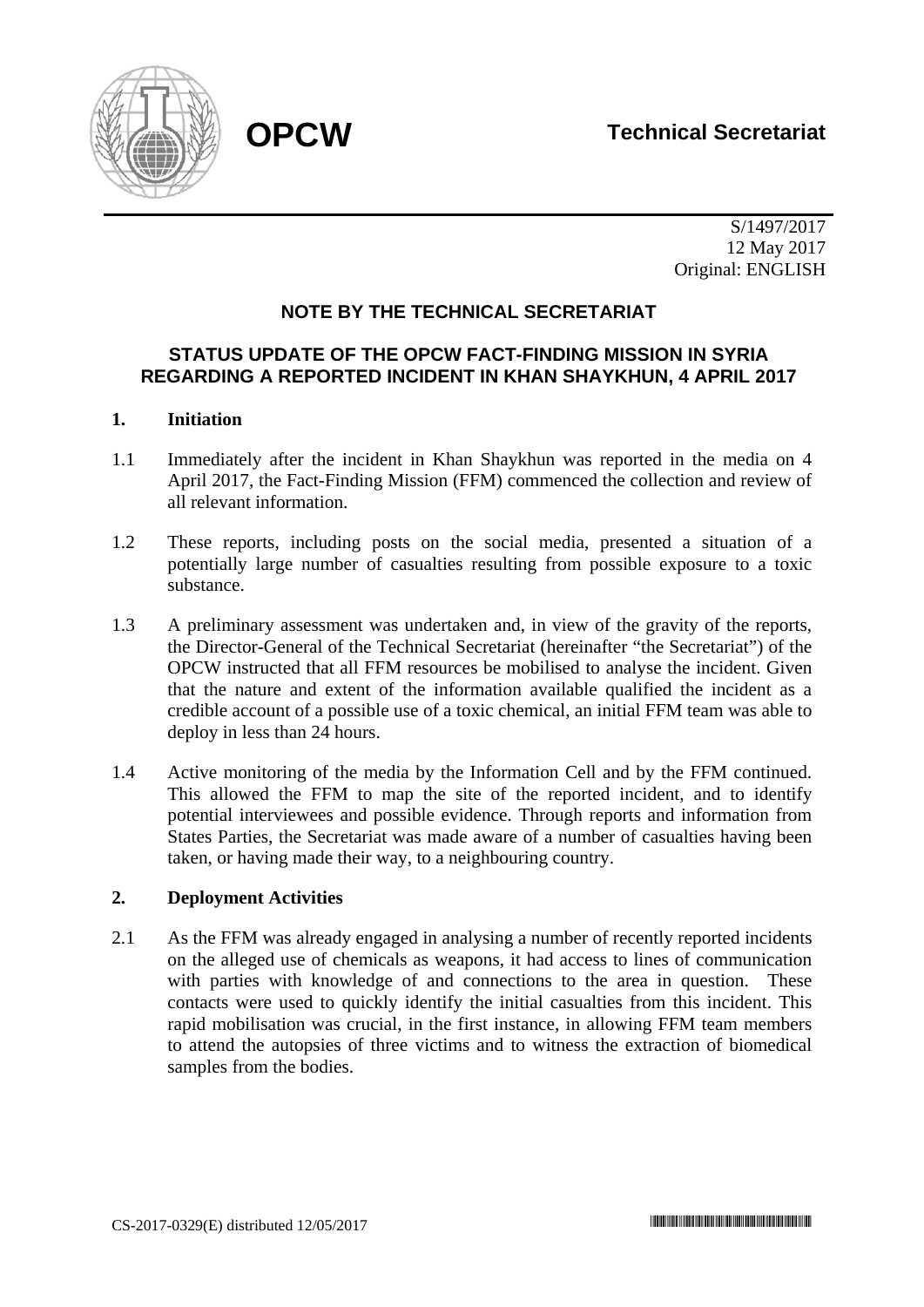

 S/1497/2017 12 May 2017 Original: ENGLISH

# **NOTE BY THE TECHNICAL SECRETARIAT**

# **STATUS UPDATE OF THE OPCW FACT-FINDING MISSION IN SYRIA REGARDING A REPORTED INCIDENT IN KHAN SHAYKHUN, 4 APRIL 2017**

## **1. Initiation**

- 1.1 Immediately after the incident in Khan Shaykhun was reported in the media on 4 April 2017, the Fact-Finding Mission (FFM) commenced the collection and review of all relevant information.
- 1.2 These reports, including posts on the social media, presented a situation of a potentially large number of casualties resulting from possible exposure to a toxic substance.
- 1.3 A preliminary assessment was undertaken and, in view of the gravity of the reports, the Director-General of the Technical Secretariat (hereinafter "the Secretariat") of the OPCW instructed that all FFM resources be mobilised to analyse the incident. Given that the nature and extent of the information available qualified the incident as a credible account of a possible use of a toxic chemical, an initial FFM team was able to deploy in less than 24 hours.
- 1.4 Active monitoring of the media by the Information Cell and by the FFM continued. This allowed the FFM to map the site of the reported incident, and to identify potential interviewees and possible evidence. Through reports and information from States Parties, the Secretariat was made aware of a number of casualties having been taken, or having made their way, to a neighbouring country.

### **2. Deployment Activities**

2.1 As the FFM was already engaged in analysing a number of recently reported incidents on the alleged use of chemicals as weapons, it had access to lines of communication with parties with knowledge of and connections to the area in question. These contacts were used to quickly identify the initial casualties from this incident. This rapid mobilisation was crucial, in the first instance, in allowing FFM team members to attend the autopsies of three victims and to witness the extraction of biomedical samples from the bodies.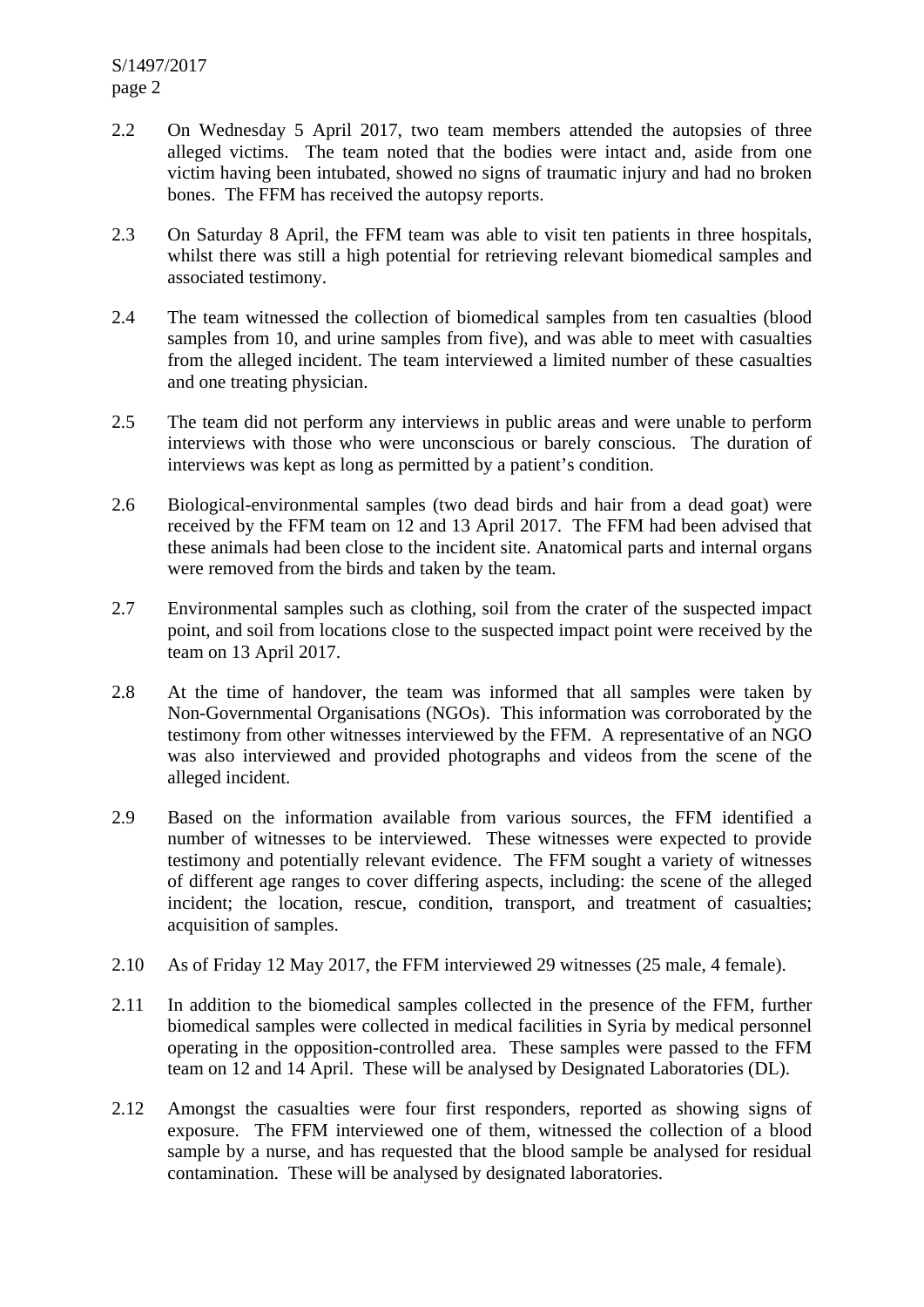- 2.2 On Wednesday 5 April 2017, two team members attended the autopsies of three alleged victims. The team noted that the bodies were intact and, aside from one victim having been intubated, showed no signs of traumatic injury and had no broken bones. The FFM has received the autopsy reports.
- 2.3 On Saturday 8 April, the FFM team was able to visit ten patients in three hospitals, whilst there was still a high potential for retrieving relevant biomedical samples and associated testimony.
- 2.4 The team witnessed the collection of biomedical samples from ten casualties (blood samples from 10, and urine samples from five), and was able to meet with casualties from the alleged incident. The team interviewed a limited number of these casualties and one treating physician.
- 2.5 The team did not perform any interviews in public areas and were unable to perform interviews with those who were unconscious or barely conscious. The duration of interviews was kept as long as permitted by a patient's condition.
- 2.6 Biological-environmental samples (two dead birds and hair from a dead goat) were received by the FFM team on 12 and 13 April 2017. The FFM had been advised that these animals had been close to the incident site. Anatomical parts and internal organs were removed from the birds and taken by the team.
- 2.7 Environmental samples such as clothing, soil from the crater of the suspected impact point, and soil from locations close to the suspected impact point were received by the team on 13 April 2017.
- 2.8 At the time of handover, the team was informed that all samples were taken by Non-Governmental Organisations (NGOs). This information was corroborated by the testimony from other witnesses interviewed by the FFM. A representative of an NGO was also interviewed and provided photographs and videos from the scene of the alleged incident.
- 2.9 Based on the information available from various sources, the FFM identified a number of witnesses to be interviewed. These witnesses were expected to provide testimony and potentially relevant evidence. The FFM sought a variety of witnesses of different age ranges to cover differing aspects, including: the scene of the alleged incident; the location, rescue, condition, transport, and treatment of casualties; acquisition of samples.
- 2.10 As of Friday 12 May 2017, the FFM interviewed 29 witnesses (25 male, 4 female).
- 2.11 In addition to the biomedical samples collected in the presence of the FFM, further biomedical samples were collected in medical facilities in Syria by medical personnel operating in the opposition-controlled area. These samples were passed to the FFM team on 12 and 14 April. These will be analysed by Designated Laboratories (DL).
- 2.12 Amongst the casualties were four first responders, reported as showing signs of exposure. The FFM interviewed one of them, witnessed the collection of a blood sample by a nurse, and has requested that the blood sample be analysed for residual contamination. These will be analysed by designated laboratories.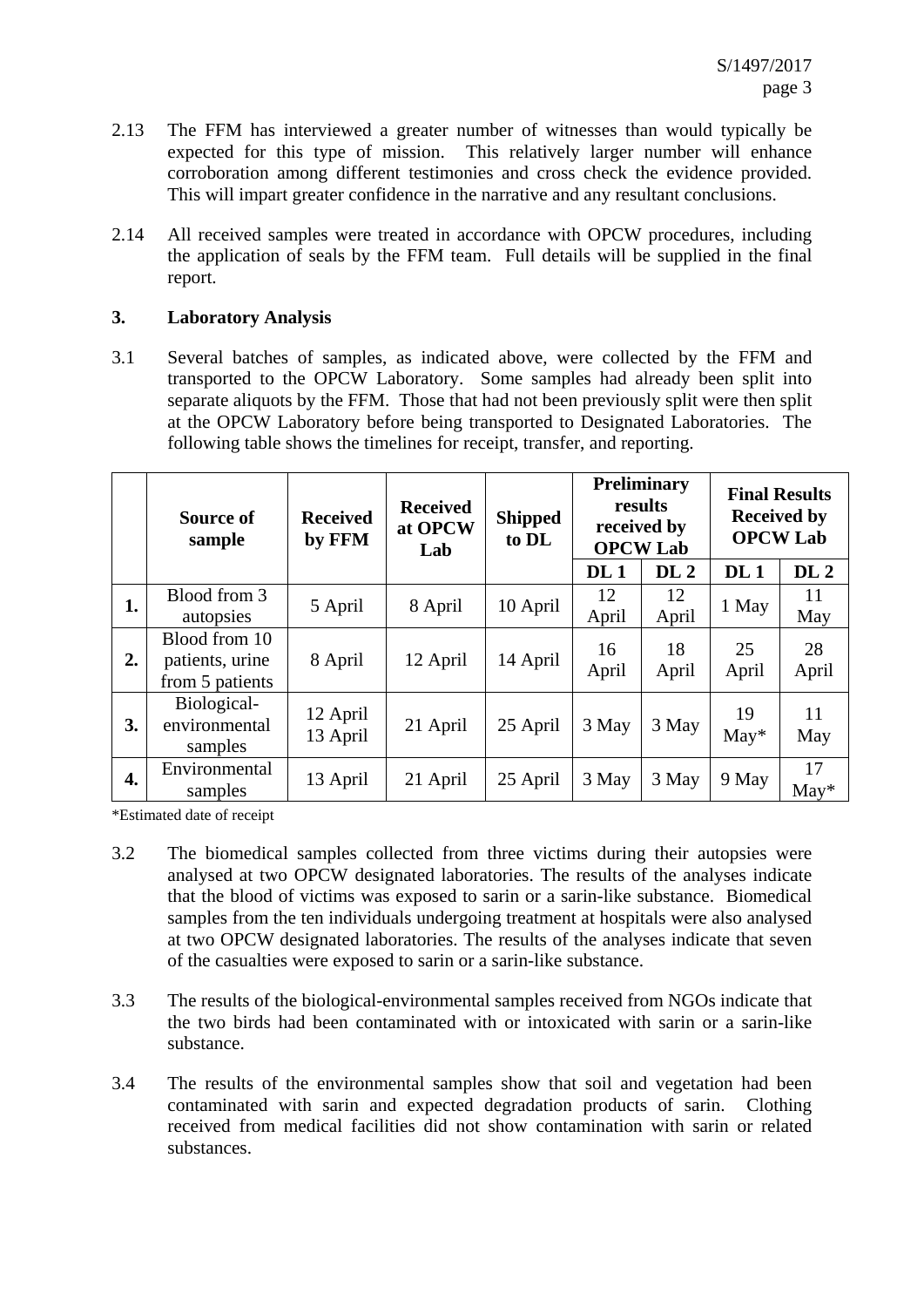- 2.13 The FFM has interviewed a greater number of witnesses than would typically be expected for this type of mission. This relatively larger number will enhance corroboration among different testimonies and cross check the evidence provided. This will impart greater confidence in the narrative and any resultant conclusions.
- 2.14 All received samples were treated in accordance with OPCW procedures, including the application of seals by the FFM team. Full details will be supplied in the final report.

# **3. Laboratory Analysis**

3.1 Several batches of samples, as indicated above, were collected by the FFM and transported to the OPCW Laboratory. Some samples had already been split into separate aliquots by the FFM. Those that had not been previously split were then split at the OPCW Laboratory before being transported to Designated Laboratories. The following table shows the timelines for receipt, transfer, and reporting.

|    | Source of<br>sample                                 | <b>Received</b><br>by FFM | <b>Received</b><br>at OPCW<br>Lab | <b>Shipped</b><br>to DL | <b>Preliminary</b><br>results<br>received by<br><b>OPCW Lab</b> |                 | <b>Final Results</b><br><b>Received by</b><br><b>OPCW Lab</b> |                 |
|----|-----------------------------------------------------|---------------------------|-----------------------------------|-------------------------|-----------------------------------------------------------------|-----------------|---------------------------------------------------------------|-----------------|
|    |                                                     |                           |                                   |                         | DL <sub>1</sub>                                                 | DL <sub>2</sub> | DL <sub>1</sub>                                               | DL <sub>2</sub> |
| 1. | Blood from 3<br>autopsies                           | 5 April                   | 8 April                           | 10 April                | 12<br>April                                                     | 12<br>April     | 1 May                                                         | 11<br>May       |
| 2. | Blood from 10<br>patients, urine<br>from 5 patients | 8 April                   | 12 April                          | 14 April                | 16<br>April                                                     | 18<br>April     | 25<br>April                                                   | 28<br>April     |
| 3. | Biological-<br>environmental<br>samples             | 12 April<br>13 April      | 21 April                          | 25 April                | 3 May                                                           | 3 May           | 19<br>$May*$                                                  | 11<br>May       |
| 4. | Environmental<br>samples                            | 13 April                  | 21 April                          | 25 April                | 3 May                                                           | 3 May           | 9 May                                                         | 17<br>$May*$    |

\*Estimated date of receipt

- 3.2 The biomedical samples collected from three victims during their autopsies were analysed at two OPCW designated laboratories. The results of the analyses indicate that the blood of victims was exposed to sarin or a sarin-like substance. Biomedical samples from the ten individuals undergoing treatment at hospitals were also analysed at two OPCW designated laboratories. The results of the analyses indicate that seven of the casualties were exposed to sarin or a sarin-like substance.
- 3.3 The results of the biological-environmental samples received from NGOs indicate that the two birds had been contaminated with or intoxicated with sarin or a sarin-like substance.
- 3.4 The results of the environmental samples show that soil and vegetation had been contaminated with sarin and expected degradation products of sarin. Clothing received from medical facilities did not show contamination with sarin or related substances.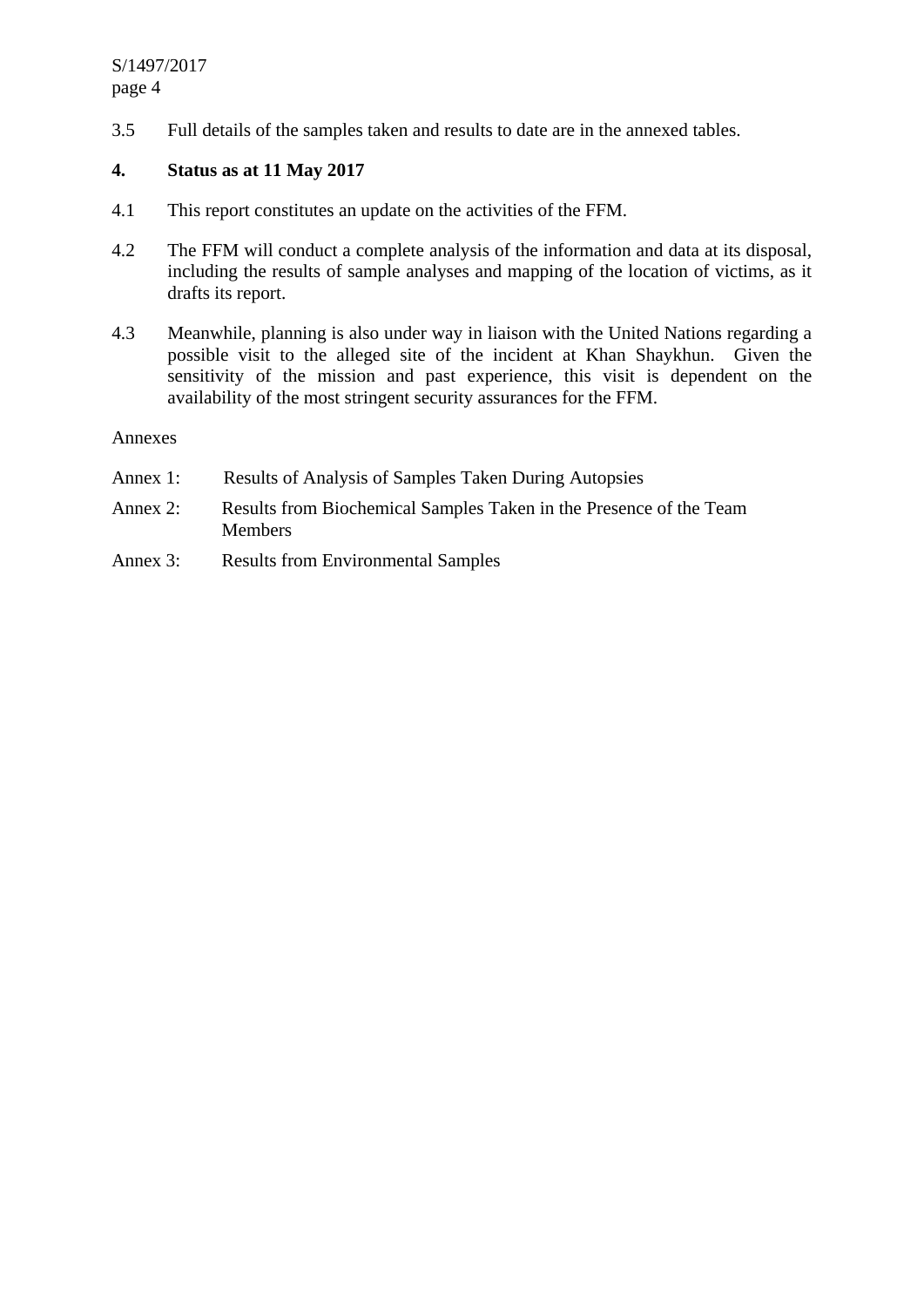3.5 Full details of the samples taken and results to date are in the annexed tables.

# **4. Status as at 11 May 2017**

- 4.1 This report constitutes an update on the activities of the FFM.
- 4.2 The FFM will conduct a complete analysis of the information and data at its disposal, including the results of sample analyses and mapping of the location of victims, as it drafts its report.
- 4.3 Meanwhile, planning is also under way in liaison with the United Nations regarding a possible visit to the alleged site of the incident at Khan Shaykhun. Given the sensitivity of the mission and past experience, this visit is dependent on the availability of the most stringent security assurances for the FFM.

### Annexes

- Annex 1: Results of Analysis of Samples Taken During Autopsies
- Annex 2: Results from Biochemical Samples Taken in the Presence of the Team Members
- Annex 3: Results from Environmental Samples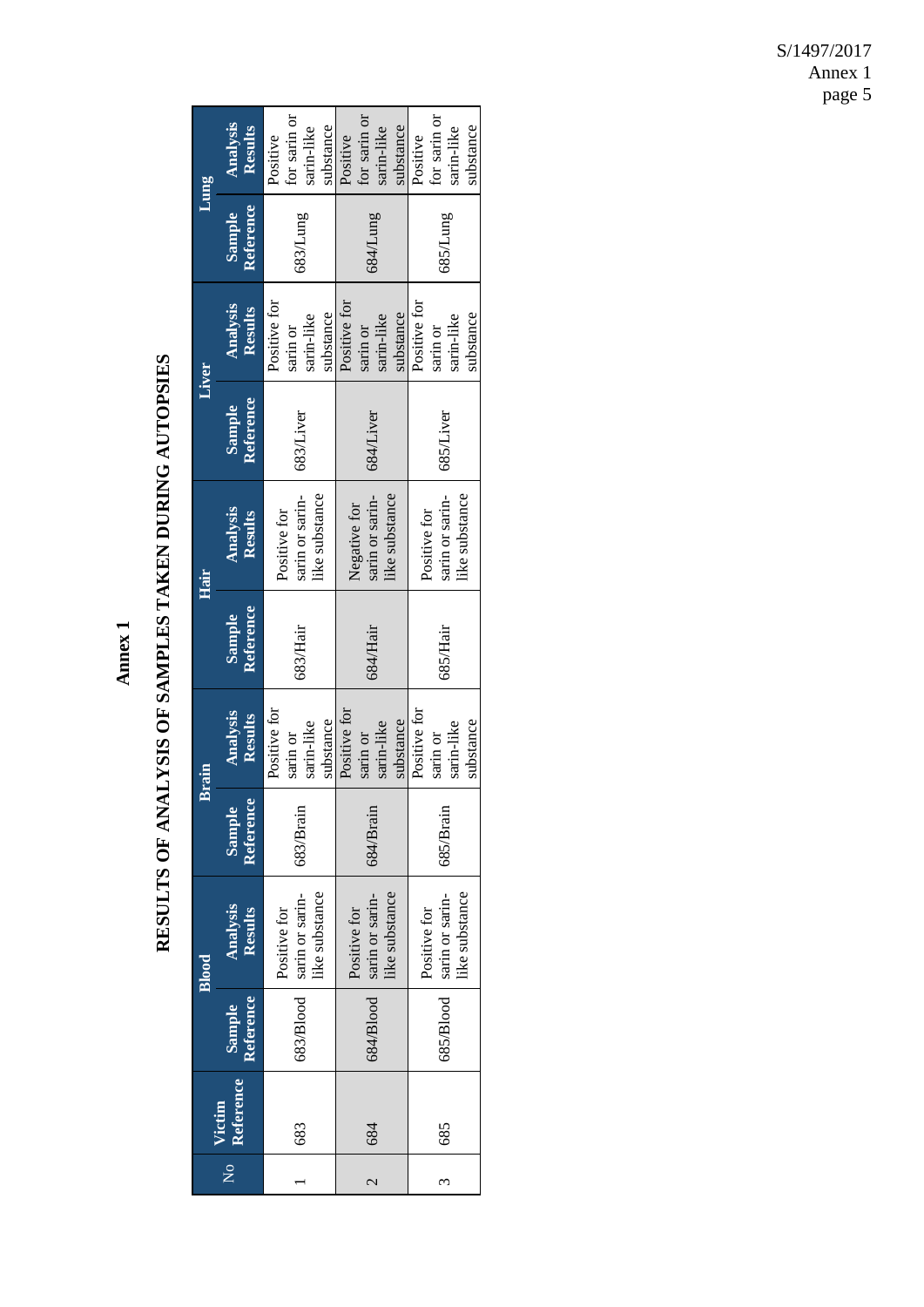Annex 1 **Annex 1** 

# RESULTS OF ANALYSIS OF SAMPLES TAKEN DURING AUTOPSIES **RESULTS OF ANALYSIS OF SAMPLES TAKEN DURING AUTOPSIES**

| Jung  | Analysis<br>Results        | for sarin or<br>substance<br>sarin-like<br>Positive | for sarin or<br>substance<br>sarin-like<br>Positive | for sarin or<br>substance<br>sarin-like<br>Positive |
|-------|----------------------------|-----------------------------------------------------|-----------------------------------------------------|-----------------------------------------------------|
|       | Reference<br>Sample        | 683/Lung                                            | 684/Lung                                            | 685/Lung                                            |
| Liver | Analysis<br>Results        | Positive for<br>substance<br>sarin-like<br>sarin or | Positive for<br>substance<br>sarin-like<br>sarin or | Positive for<br>substance<br>sarin-like<br>sarin or |
|       | Reference<br><b>Sample</b> | 683/Liver                                           | 684/Liver                                           | 685/Liver                                           |
| Hair  | Analysis<br>Results        | iike substance<br>sarin or sarin-<br>Positive for   | ike substance<br>sarin or sarin-<br>Negative for    | sarin or sarin-<br>like substance<br>Positive for   |
|       | Reference<br><b>Sample</b> | 683/Hair                                            | 684/Hair                                            | 685/Hair                                            |
| Brain | Analysis<br>Results        | Positive for<br>substance<br>sarin-like<br>sarin or | Positive for<br>substance<br>sarin-like<br>sarin or | Positive for<br>substance<br>sarin-like<br>sarin or |
|       | Reference<br>Sample        | 683/Brain                                           | 684/Brain                                           | 685/Brain                                           |
| Blood | Analysis<br><b>Results</b> | like substance<br>sarin or sarin-<br>Positive for   | like substance<br>sarin or sarin-<br>Positive for   | like substance<br>sarin or sarin-<br>Positive for   |
|       | Reference<br>Sample        | 683/Blood                                           | 684/Blood                                           | 685/Blood                                           |
|       | Reference<br>Victim        | 683                                                 | 684                                                 | 685                                                 |
|       | $\overline{X}$             |                                                     | $\overline{\mathcal{C}}$                            | 3                                                   |

S/1497/2017 Annex 1 page 5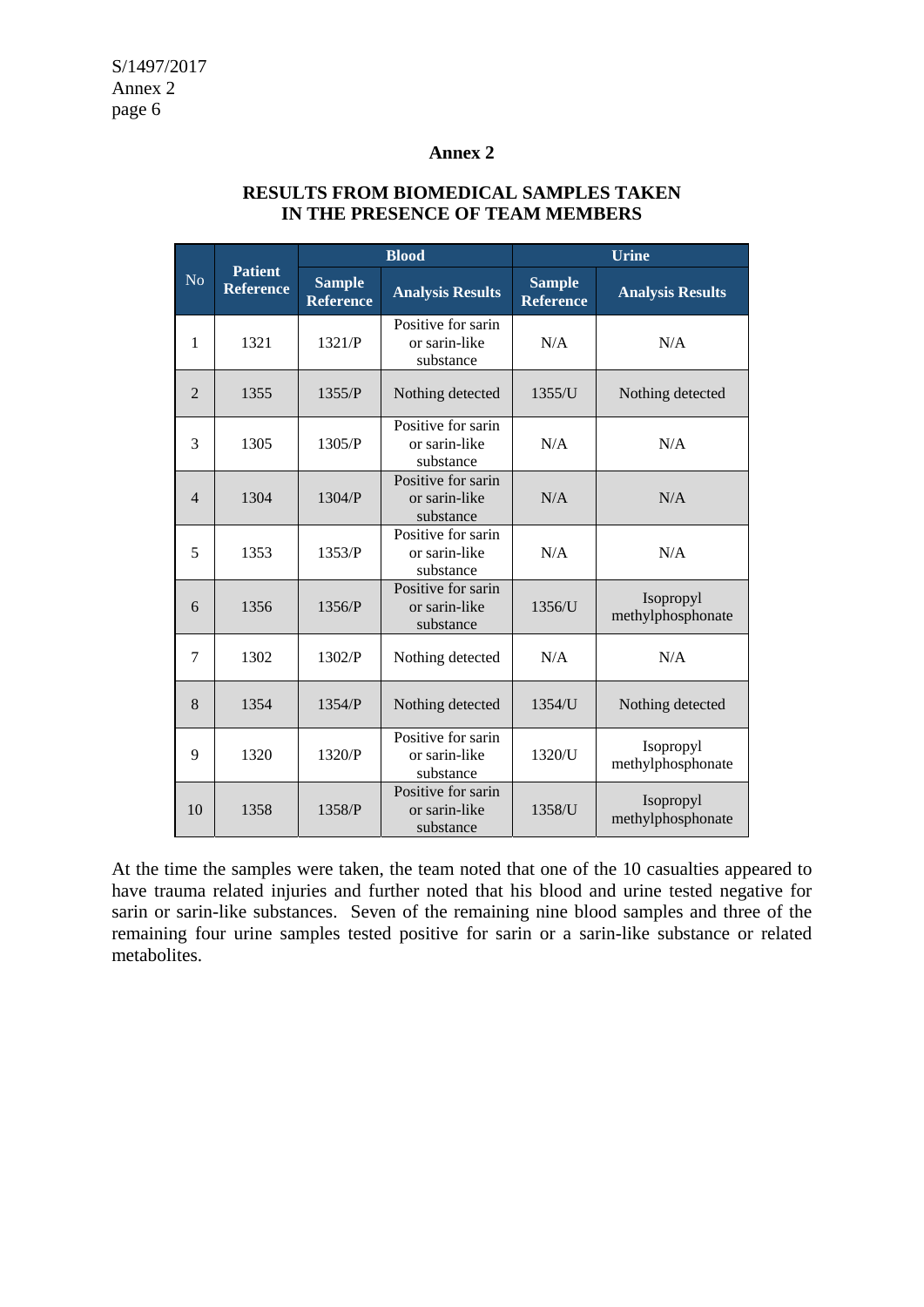## **Annex 2**

|                | <b>Patient</b><br><b>Reference</b> | <b>Blood</b>                      |                                                  | <b>Urine</b>                      |                                |  |
|----------------|------------------------------------|-----------------------------------|--------------------------------------------------|-----------------------------------|--------------------------------|--|
| N <sub>o</sub> |                                    | <b>Sample</b><br><b>Reference</b> | <b>Analysis Results</b>                          | <b>Sample</b><br><b>Reference</b> | <b>Analysis Results</b>        |  |
| $\mathbf{1}$   | 1321                               | 1321/P                            | Positive for sarin<br>or sarin-like<br>substance | N/A                               | N/A                            |  |
| $\overline{2}$ | 1355                               | 1355/P                            | Nothing detected                                 | 1355/U                            | Nothing detected               |  |
| 3              | 1305                               | 1305/P                            | Positive for sarin<br>or sarin-like<br>substance | N/A                               | N/A                            |  |
| $\overline{4}$ | 1304                               | 1304/P                            | Positive for sarin<br>or sarin-like<br>substance | N/A                               | N/A                            |  |
| 5              | 1353                               | 1353/P                            | Positive for sarin<br>or sarin-like<br>substance | N/A                               | N/A                            |  |
| 6              | 1356                               | 1356/P                            | Positive for sarin<br>or sarin-like<br>substance | 1356/U                            | Isopropyl<br>methylphosphonate |  |
| 7              | 1302                               | 1302/P                            | Nothing detected                                 | N/A                               | N/A                            |  |
| 8              | 1354                               | 1354/P                            | Nothing detected                                 | 1354/U                            | Nothing detected               |  |
| 9              | 1320                               | 1320/P                            | Positive for sarin<br>or sarin-like<br>substance | 1320/U                            | Isopropyl<br>methylphosphonate |  |
| 10             | 1358                               | 1358/P                            | Positive for sarin<br>or sarin-like<br>substance | 1358/U                            | Isopropyl<br>methylphosphonate |  |

## **RESULTS FROM BIOMEDICAL SAMPLES TAKEN IN THE PRESENCE OF TEAM MEMBERS**

At the time the samples were taken, the team noted that one of the 10 casualties appeared to have trauma related injuries and further noted that his blood and urine tested negative for sarin or sarin-like substances. Seven of the remaining nine blood samples and three of the remaining four urine samples tested positive for sarin or a sarin-like substance or related metabolites.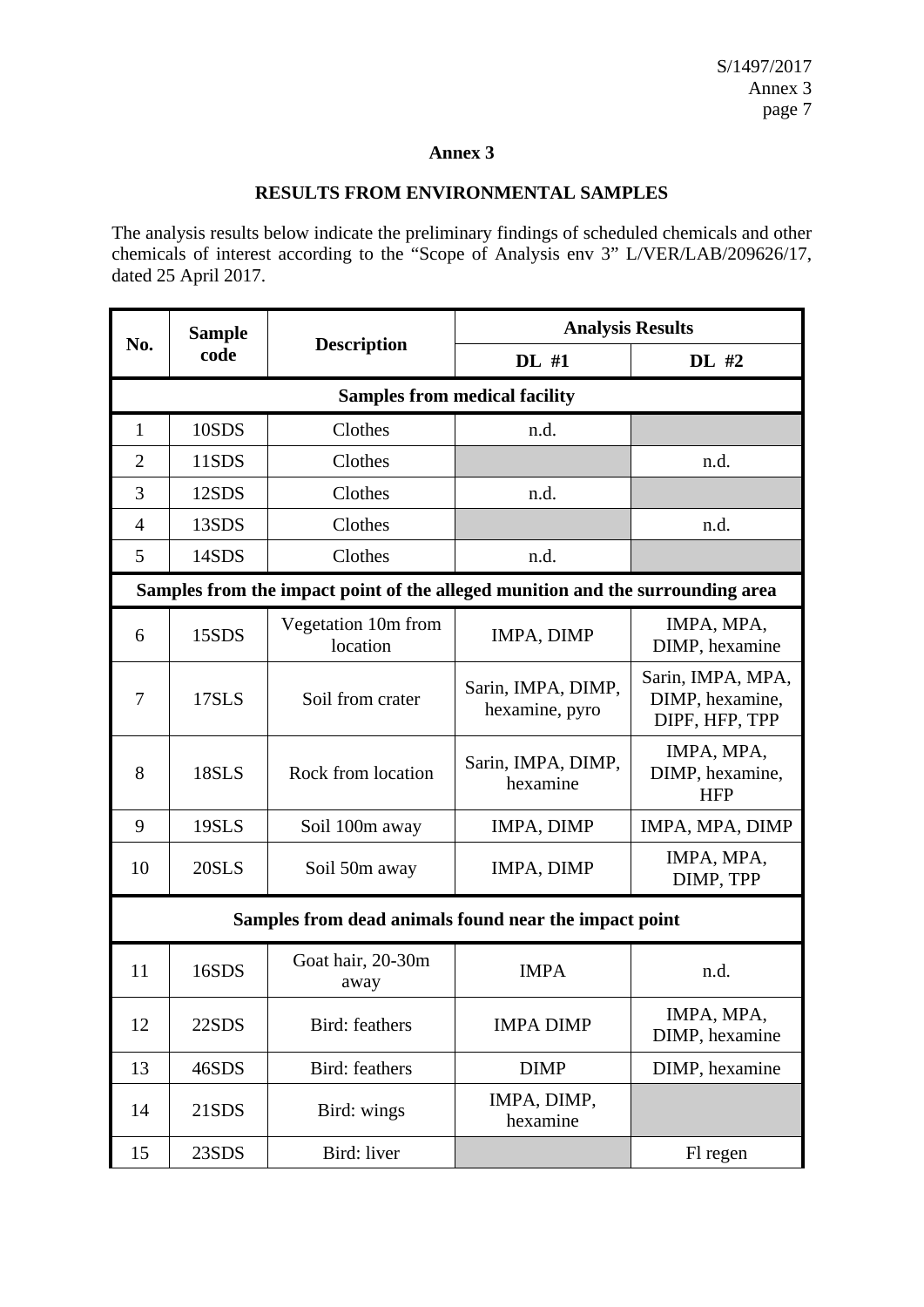# **Annex 3**

### **RESULTS FROM ENVIRONMENTAL SAMPLES**

The analysis results below indicate the preliminary findings of scheduled chemicals and other chemicals of interest according to the "Scope of Analysis env 3" L/VER/LAB/209626/17, dated 25 April 2017.

| No.                                  | <b>Sample</b>                                                                  |                                 | <b>Analysis Results</b>              |                                                        |  |  |
|--------------------------------------|--------------------------------------------------------------------------------|---------------------------------|--------------------------------------|--------------------------------------------------------|--|--|
|                                      | code                                                                           | <b>Description</b>              | DL #1                                | DL #2                                                  |  |  |
| <b>Samples from medical facility</b> |                                                                                |                                 |                                      |                                                        |  |  |
| $\mathbf{1}$                         | 10SDS                                                                          | Clothes                         | n.d.                                 |                                                        |  |  |
| $\overline{2}$                       | 11SDS                                                                          | Clothes                         |                                      | n.d.                                                   |  |  |
| 3                                    | 12SDS                                                                          | Clothes                         | n.d.                                 |                                                        |  |  |
| $\overline{4}$                       | 13SDS                                                                          | Clothes                         |                                      | n.d.                                                   |  |  |
| 5                                    | 14SDS                                                                          | Clothes<br>n.d.                 |                                      |                                                        |  |  |
|                                      | Samples from the impact point of the alleged munition and the surrounding area |                                 |                                      |                                                        |  |  |
| 6                                    | 15SDS                                                                          | Vegetation 10m from<br>location | IMPA, DIMP                           | IMPA, MPA,<br>DIMP, hexamine                           |  |  |
| 7                                    | 17SLS                                                                          | Soil from crater                | Sarin, IMPA, DIMP,<br>hexamine, pyro | Sarin, IMPA, MPA,<br>DIMP, hexamine,<br>DIPF, HFP, TPP |  |  |
| 8                                    | 18SLS                                                                          | Rock from location              | Sarin, IMPA, DIMP,<br>hexamine       | IMPA, MPA,<br>DIMP, hexamine,<br><b>HFP</b>            |  |  |
| 9                                    | 19SLS                                                                          | Soil 100m away                  | IMPA, DIMP                           | IMPA, MPA, DIMP                                        |  |  |
| 10                                   | 20SLS                                                                          | Soil 50m away                   | IMPA, DIMP                           | IMPA, MPA,<br>DIMP, TPP                                |  |  |
|                                      | Samples from dead animals found near the impact point                          |                                 |                                      |                                                        |  |  |
| 11                                   | 16SDS                                                                          | Goat hair, 20-30m<br>away       | <b>IMPA</b>                          | n.d.                                                   |  |  |
| 12                                   | 22SDS                                                                          | Bird: feathers                  | <b>IMPA DIMP</b>                     | IMPA, MPA,<br>DIMP, hexamine                           |  |  |
| 13                                   | 46SDS                                                                          | Bird: feathers                  | <b>DIMP</b>                          | DIMP, hexamine                                         |  |  |
| 14                                   | 21SDS                                                                          | Bird: wings                     | IMPA, DIMP,<br>hexamine              |                                                        |  |  |
| 15                                   | 23SDS                                                                          | Bird: liver                     |                                      | Fl regen                                               |  |  |